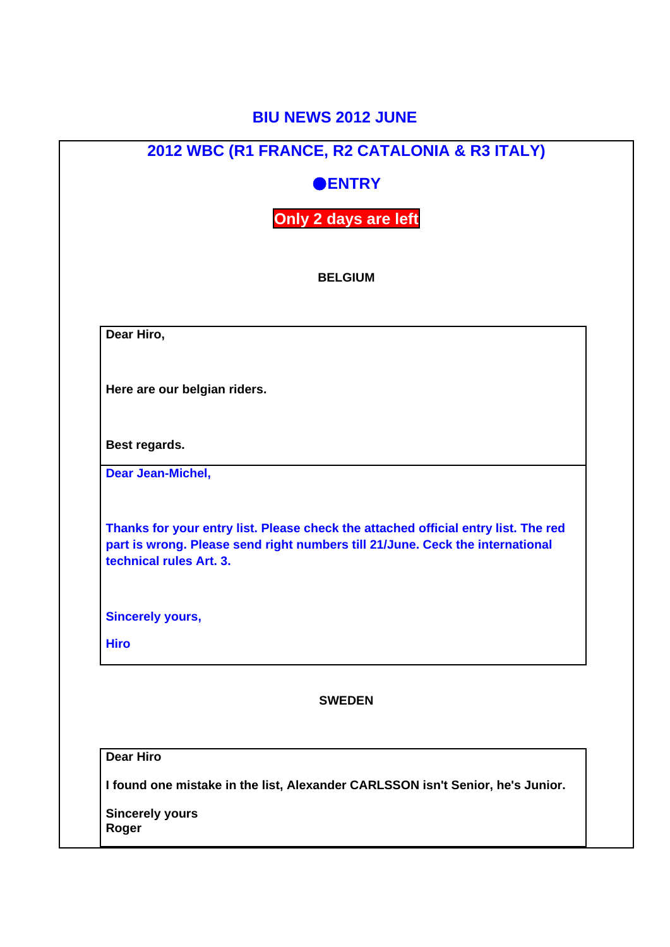## **BIU NEWS 2012 JUNE**

|             | 2012 WBC (R1 FRANCE, R2 CATALONIA & R3 ITALY)                                                                                                                                                  |
|-------------|------------------------------------------------------------------------------------------------------------------------------------------------------------------------------------------------|
|             | <b>ENTRY</b>                                                                                                                                                                                   |
|             | Only 2 days are left                                                                                                                                                                           |
|             | <b>BELGIUM</b>                                                                                                                                                                                 |
|             | Dear Hiro,                                                                                                                                                                                     |
|             | Here are our belgian riders.                                                                                                                                                                   |
|             | Best regards.                                                                                                                                                                                  |
|             | Dear Jean-Michel,                                                                                                                                                                              |
|             | Thanks for your entry list. Please check the attached official entry list. The red<br>part is wrong. Please send right numbers till 21/June. Ceck the international<br>technical rules Art. 3. |
|             | <b>Sincerely yours,</b>                                                                                                                                                                        |
| <b>Hiro</b> |                                                                                                                                                                                                |
|             | <b>SWEDEN</b>                                                                                                                                                                                  |
|             |                                                                                                                                                                                                |
|             | <b>Dear Hiro</b>                                                                                                                                                                               |
|             | I found one mistake in the list, Alexander CARLSSON isn't Senior, he's Junior.                                                                                                                 |
|             | <b>Sincerely yours</b>                                                                                                                                                                         |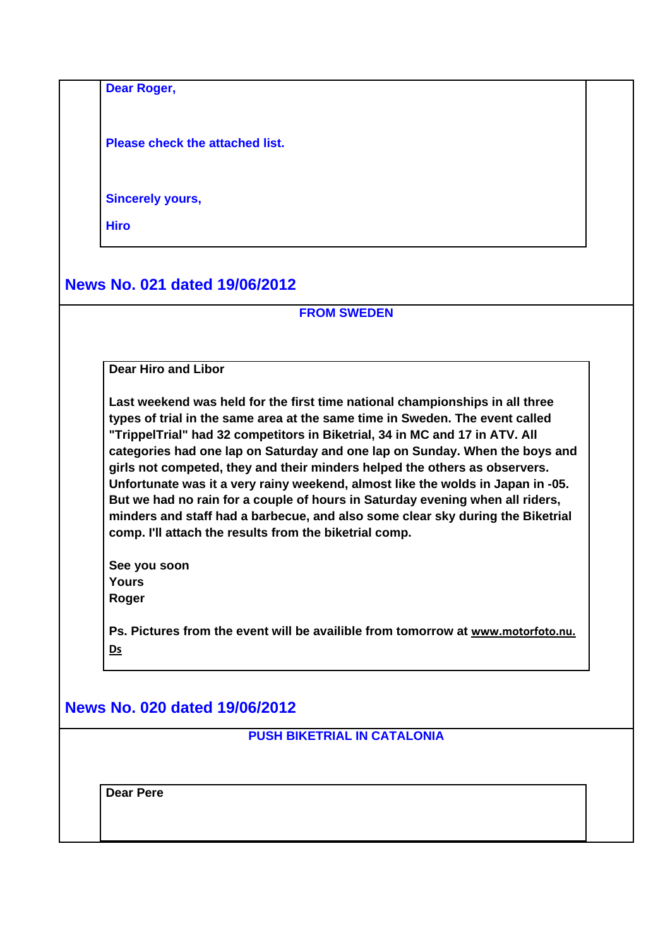**Dear Roger,**

**Please check the attached list.**

**Sincerely yours,**

**Hiro**

**News No. 021 dated 19/06/2012**

## **FROM SWEDEN**

**Dear Hiro and Libor** 

**Last weekend was held for the first time national championships in all three types of trial in the same area at the same time in Sweden. The event called "TrippelTrial" had 32 competitors in Biketrial, 34 in MC and 17 in ATV. All categories had one lap on Saturday and one lap on Sunday. When the boys and girls not competed, they and their minders helped the others as observers. Unfortunate was it a very rainy weekend, almost like the wolds in Japan in -05. But we had no rain for a couple of hours in Saturday evening when all riders, minders and staff had a barbecue, and also some clear sky during the Biketrial comp. I'll attach the results from the biketrial comp.** 

**See you soon Yours Roger** 

Ps. Pictures from the event will be availible from tomorrow at **www.motorfoto.nu. Ds**

## **News No. 020 dated 19/06/2012**

**PUSH BIKETRIAL IN CATALONIA**

**Dear Pere**